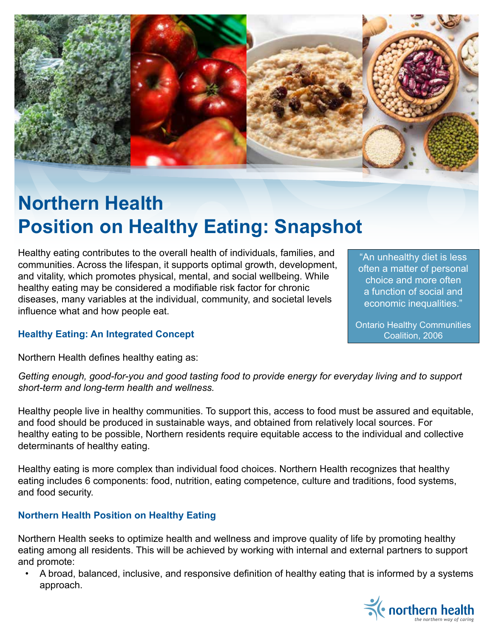

# **Northern Health Position on Healthy Eating: Snapshot**

Healthy eating contributes to the overall health of individuals, families, and communities. Across the lifespan, it supports optimal growth, development, and vitality, which promotes physical, mental, and social wellbeing. While healthy eating may be considered a modifiable risk factor for chronic diseases, many variables at the individual, community, and societal levels influence what and how people eat.

"An unhealthy diet is less often a matter of personal choice and more often a function of social and economic inequalities."

Ontario Healthy Communities Coalition, 2006

## **Healthy Eating: An Integrated Concept**

Northern Health defines healthy eating as:

*Getting enough, good-for-you and good tasting food to provide energy for everyday living and to support short-term and long-term health and wellness.*

Healthy people live in healthy communities. To support this, access to food must be assured and equitable, and food should be produced in sustainable ways, and obtained from relatively local sources. For healthy eating to be possible, Northern residents require equitable access to the individual and collective determinants of healthy eating.

Healthy eating is more complex than individual food choices. Northern Health recognizes that healthy eating includes 6 components: food, nutrition, eating competence, culture and traditions, food systems, and food security.

## **Northern Health Position on Healthy Eating**

Northern Health seeks to optimize health and wellness and improve quality of life by promoting healthy eating among all residents. This will be achieved by working with internal and external partners to support and promote:

• A broad, balanced, inclusive, and responsive definition of healthy eating that is informed by a systems approach.